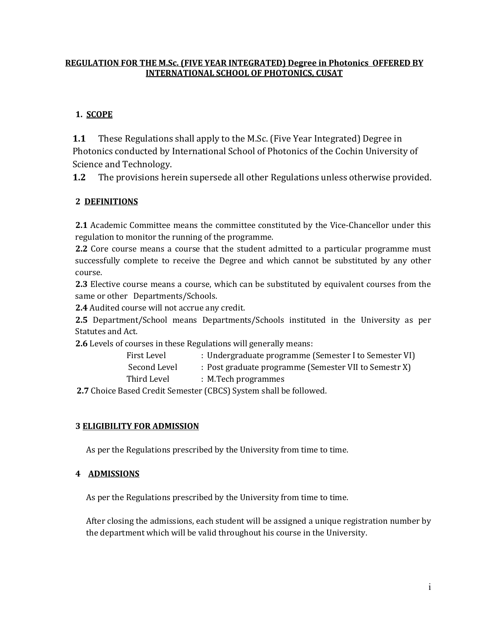### **REGULATION FOR THE M.Sc. (FIVE YEAR INTEGRATED) Degree in Photonics OFFERED BY INTERNATIONAL SCHOOL OF PHOTONICS, CUSAT**

# **1. SCOPE**

**1.1** These Regulations shall apply to the M.Sc. (Five Year Integrated) Degree in Photonics conducted by International School of Photonics of the Cochin University of Science and Technology.

**1.2** The provisions herein supersede all other Regulations unless otherwise provided.

# **2 DEFINITIONS**

**2.1** Academic Committee means the committee constituted by the Vice-Chancellor under this regulation to monitor the running of the programme.

**2.2** Core course means a course that the student admitted to a particular programme must successfully complete to receive the Degree and which cannot be substituted by any other course.

**2.3** Elective course means a course, which can be substituted by equivalent courses from the same or other Departments/Schools.

**2.4** Audited course will not accrue any credit.

**2.5** Department/School means Departments/Schools instituted in the University as per Statutes and Act.

**2.6** Levels of courses in these Regulations will generally means:<br>First Level : Undergraduate programme (

- : Undergraduate programme (Semester I to Semester VI)
- Second Level : Post graduate programme (Semester VII to Semestr X)
- Third Level : M.Tech programmes

**2.7** Choice Based Credit Semester (CBCS) System shall be followed.

# **3 ELIGIBILITY FOR ADMISSION**

As per the Regulations prescribed by the University from time to time.

# **4 ADMISSIONS**

As per the Regulations prescribed by the University from time to time.

After closing the admissions, each student will be assigned a unique registration number by the department which will be valid throughout his course in the University.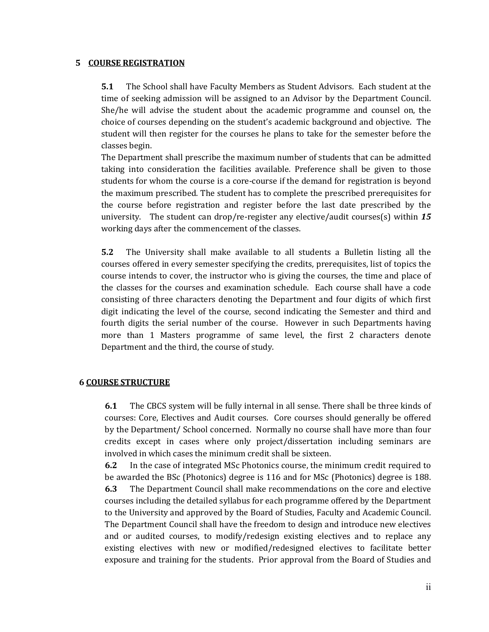#### **5 COURSE REGISTRATION**

**5.1** The School shall have Faculty Members as Student Advisors. Each student at the time of seeking admission will be assigned to an Advisor by the Department Council. She/he will advise the student about the academic programme and counsel on, the choice of courses depending on the student's academic background and objective. The student will then register for the courses he plans to take for the semester before the classes begin.

The Department shall prescribe the maximum number of students that can be admitted taking into consideration the facilities available. Preference shall be given to those students for whom the course is acore-course if the demand for registration is beyond the maximum prescribed. The student has to complete the prescribed prerequisites for the course before registration and register before the last date prescribed by the university. The student can drop/re-register any elective/audit courses(s) within *15* working days after the commencement of the classes.

**5.2** The University shall make available to all students a Bulletin listing all the courses offered in every semester specifying the credits, prerequisites, list of topics the course intends to cover, the instructor who is giving the courses, the time and place of the classes for the courses and examination schedule. Each course shall have a code consisting of three characters denoting the Department and four digits of which first digit indicating the level of the course, second indicating the Semester and third and fourth digits the serial number of the course. However in such Departments having more than 1 Masters programme of same level, the first 2 characters denote Department and the third, the course of study.

#### **6 COURSE STRUCTURE**

**6.1** The CBCS system will be fully internal in all sense. There shall be three kinds of courses: Core, Electives and Audit courses. Core courses should generally be offered by the Department/ School concerned. Normally no course shall have more than four credits except in cases where only project/dissertation including seminars are involved in which cases the minimum credit shall be sixteen.

**6.2** In the case of integrated MSc Photonics course, the minimum credit required to be awarded the BSc (Photonics) degree is 116 and for MSc (Photonics) degree is 188. **6.3** The Department Council shall make recommendations on the core and elective courses including the detailed syllabus for each programme offered by the Department to the University and approved by the Board of Studies, Faculty and Academic Council. The Department Council shall have the freedom to design and introduce new electives and or audited courses, to modify/redesign existing electives and to replace any existing electives with new or modified/redesigned electives to facilitate better exposure and training for the students. Prior approval from the Board of Studies and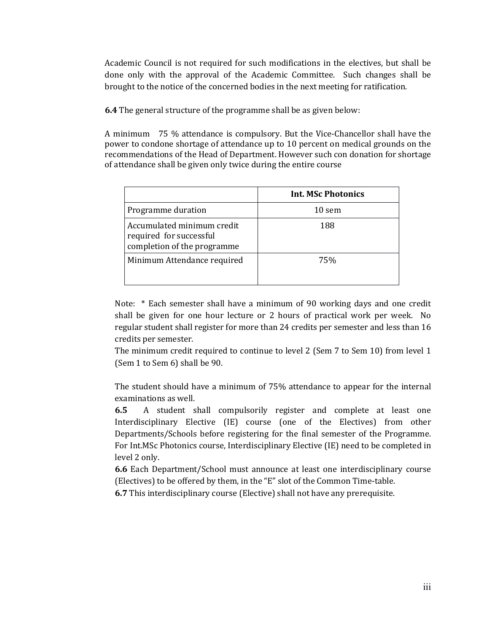Academic Council is not required for such modifications in the electives, but shall be done only with the approval of the Academic Committee. Such changes shall be brought to the notice of the concerned bodies in the next meeting for ratification.

**6.4** The general structure of the programme shall be as given below:

A minimum 75 % attendance is compulsory. But the Vice-Chancellor shall have the power to condone shortage of attendance up to 10 percent on medical grounds on the recommendations of the Head of Department. However such con donation for shortage of attendance shall be given only twice during the entire course

|                                                                                      | <b>Int. MSc Photonics</b> |
|--------------------------------------------------------------------------------------|---------------------------|
| Programme duration                                                                   | 10 sem                    |
| Accumulated minimum credit<br>required for successful<br>completion of the programme | 188                       |
| Minimum Attendance required                                                          | 75%                       |

Note: \* Each semester shall have a minimum of 90 working days and one credit shall be given for one hour lecture or 2 hours of practical work per week. No regular student shall register for more than 24 credits per semester and less than 16 credits per semester.

The minimum credit required to continue to level 2 (Sem 7 to Sem 10) from level 1 (Sem 1 to Sem 6) shall be 90.

The student should have a minimum of 75% attendance to appear for the internal examinations as well.

**6.5** A student shall compulsorily register and complete at least one Interdisciplinary Elective (IE) course (one of the Electives) from other Departments/Schools before registering for the final semester of the Programme. For Int.MSc Photonics course, Interdisciplinary Elective (IE) need to be completed in level 2 only.

**6.6** Each Department/School must announce at least one interdisciplinary course (Electives) to be offered by them, in the "E" slot of the Common Time-table.

**6.7** This interdisciplinary course (Elective) shall not have any prerequisite.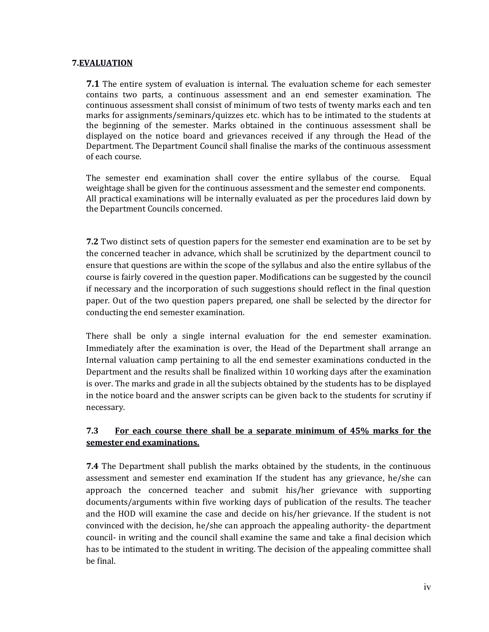#### **7.EVALUATION**

**7.1** The entire system of evaluation is internal. The evaluation scheme for each semester contains two parts, a continuous assessment and an end semester examination. The continuous assessment shall consist of minimum of two tests of twenty marks each and ten marks for assignments/seminars/quizzes etc. which has to be intimated to the students at the beginning of the semester. Marks obtained in the continuous assessment shall be displayed on the notice board and grievances received if any through the Head of the Department. The Department Council shall finalise the marks of the continuous assessment of each course.

The semester end examination shall cover the entire syllabus of the course. Equal weightage shall be given for the continuous assessment and the semester end components. All practical examinations will be internally evaluated as per the procedures laid down by the Department Councils concerned.

**7.2** Two distinct sets of question papers for the semester end examination are to be set by the concerned teacher in advance, which shall be scrutinized by the department council to ensure that questions are within the scope of the syllabus and also the entire syllabus of the course is fairly covered in the question paper. Modifications can be suggested by the council if necessary and the incorporation of such suggestions should reflect in the final question paper. Out of the two question papers prepared, one shall be selected by the director for conducting the end semester examination.

There shall be only a single internal evaluation for the end semester examination. Immediately after the examination is over, the Head of the Department shall arrange an Internal valuation camp pertaining to all the end semester examinations conducted in the Department and the results shall be finalized within 10 working days after the examination is over. The marks and grade in all the subjects obtained by the students has to be displayed in the notice board and the answer scripts can be given back to the students for scrutiny if necessary.

# **7.3 For each course there shall be a separate minimum of 45% marks for the semester end examinations.**

**7.4** The Department shall publish the marks obtained by the students, in the continuous assessment and semester end examination If the student has any grievance, he/she can approach the concerned teacher and submit his/her grievance with supporting documents/arguments within five working days of publication of the results. The teacher and the HOD will examine the case and decide on his/her grievance. If the student is not convinced with the decision, he/she can approach the appealing authority- the department council- in writing and the council shall examine the same and take a final decision which has to be intimated to the student in writing. The decision of the appealing committee shall be final.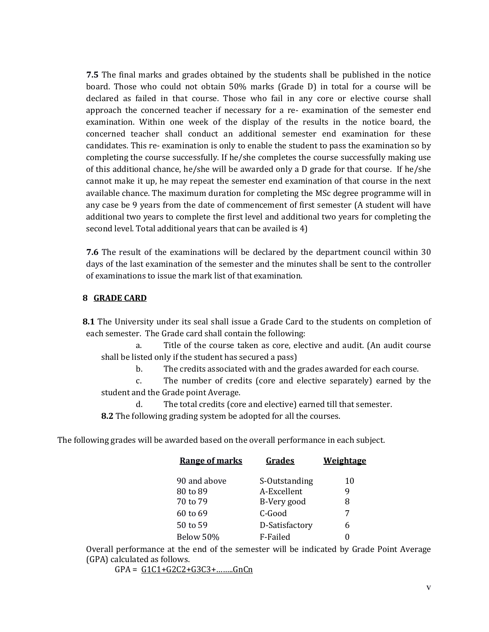**7.5** The final marks and grades obtained by the students shall be published in the notice board. Those who could not obtain 50% marks (Grade D) in total for a course will be declared as failed in that course. Those who fail in any core or elective course shall approach the concerned teacher if necessary for a re-examination of the semester end examination. Within one week of the display of the results in the notice board, the concerned teacher shall conduct an additional semester end examination for these candidates. This re- examination is only to enable the student to pass the examination so by completing the course successfully. If he/she completes the course successfully making use of this additional chance, he/she will be awarded only a D grade for that course. If he/she cannot make it up, he may repeat the semester end examination of that course in the next available chance. The maximum duration for completing the MSc degree programme will in any case be 9 years from the date of commencement of first semester (A student will have additional two years to complete the first level and additional two years for completing the second level. Total additional years that can be availed is 4)

**7.6** The result of the examinations will be declared by the department council within 30 days of the last examination of the semester and the minutes shall be sent to the controller of examinations to issue the mark list of that examination.

#### **8 GRADE CARD**

**8.1** The University under its seal shall issue a Grade Card to the students on completion of each semester. The Grade card shall contain the following:

a. Title of the course taken as core, elective and audit. (An audit course shall be listed only if the student has secured a pass)

b. The credits associated with and the grades awarded for each course.

c. The number of credits (core and elective separately) earned by the student and the Grade point Average.

d. The total credits (core and elective) earned till that semester.

**8.2** The following grading system be adopted for all the courses.

The following grades will be awarded based on the overall performance in each subject.

| <b>Range of marks</b> | Grades         | <b>Weightage</b> |
|-----------------------|----------------|------------------|
| 90 and above          | S-Outstanding  | 10               |
| 80 to 89              | A-Excellent    | 9                |
| 70 to 79              | B-Very good    | 8                |
| 60 to 69              | C-Good         | 7                |
| 50 to 59              | D-Satisfactory | 6                |
| Below 50%             | F-Failed       | 0                |

Overall performance at the end of the semester will be indicated by Grade Point Average (GPA) calculated as follows.

 $GPA = G1C1+G2C2+G3C3+......GnCn$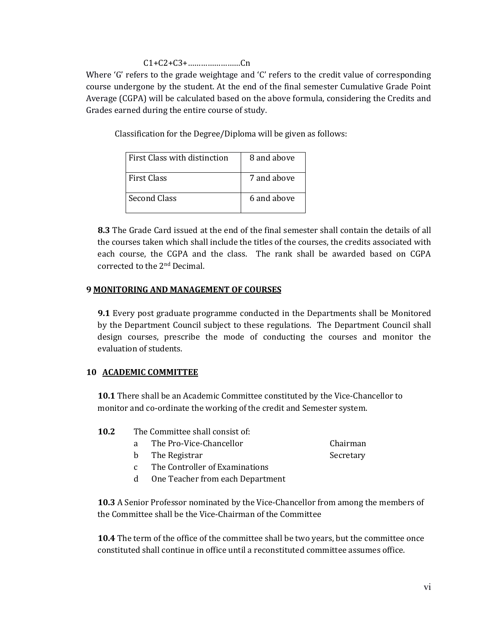### C1+C2+C3+……………………Cn

Where 'G' refers to the grade weightage and 'C' refers to the credit value of corresponding course undergone by the student. At the end of the final semester Cumulative Grade Point Average (CGPA) will be calculated based on the above formula, considering the Credits and Grades earned during the entire course of study.

Classification for the Degree/Diploma will be given as follows:

| First Class with distinction | 8 and above |
|------------------------------|-------------|
| First Class                  | 7 and above |
| <b>Second Class</b>          | 6 and above |

**8.3** The Grade Card issued at the end of the final semester shall contain the details of all the courses taken which shall include the titles of the courses, the credits associated with each course, the CGPA and the class. The rank shall be awarded based on CGPA corrected to the  $2^{\rm nd}$  Decimal.

### **9 MONITORING AND MANAGEMENT OF COURSES**

**9.1** Every post graduate programme conducted in the Departments shall be Monitored by the Department Council subject to these regulations. The Department Council shall design courses, prescribe the mode of conducting the courses and monitor the evaluation of students.

# **10 ACADEMIC COMMITTEE**

**10.1** There shall be an Academic Committee constituted by the Vice-Chancellor to monitor and co-ordinate the working of the credit and Semester system.

| 10.2<br>The Committee shall consist of: |  |
|-----------------------------------------|--|
|-----------------------------------------|--|

- a The Pro-Vice-Chancellor Chairman
- b The Registrar Secretary
- c The Controller of Examinations
- d One Teacher from each Department

**10.3** A Senior Professor nominated by the Vice-Chancellor from among the members of the Committee shall be the Vice-Chairman of the Committee

**10.4** The term of the office of the committee shall be two years, but the committee once constituted shall continue in office until a reconstituted committee assumes office.